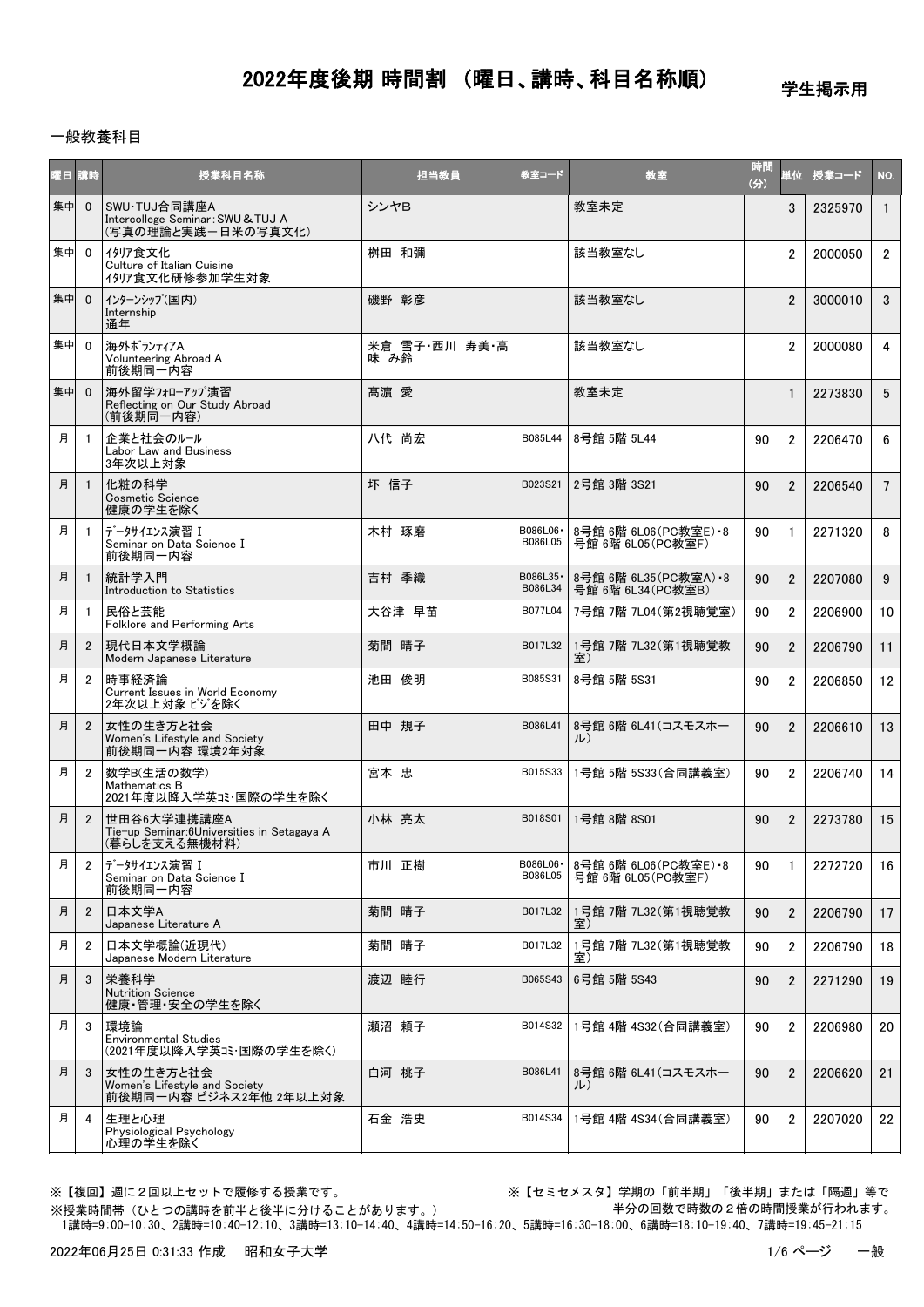学生掲示用

### 一般教養科目

| 曜日 | 請時             | 授業科目名称                                                                     | 担当教員                  | 教室コード                | 教室                                            | 時間<br>(分) | 単位             | 授業コード   | NO.             |
|----|----------------|----------------------------------------------------------------------------|-----------------------|----------------------|-----------------------------------------------|-----------|----------------|---------|-----------------|
| 集中 | $\overline{0}$ | SWU·TUJ合同講座A<br>Intercollege Seminar: SWU & TUJ A<br>(写真の理論と実践ー日米の写真文化)    | シンヤB                  |                      | 教室未定                                          |           | 3              | 2325970 | $\mathbf{1}$    |
| 集中 | $\mathbf 0$    | イタリア食文化<br>Culture of Italian Cuisine<br>1917食文化研修参加学生対象                   | 桝田 和彌                 |                      | 該当教室なし                                        |           | $\overline{2}$ | 2000050 | $\overline{2}$  |
| 集中 | $\Omega$       | インターンシップ(国内)<br>Internship<br>通年                                           | 磯野 彰彦                 |                      | 該当教室なし                                        |           | $\overline{2}$ | 3000010 | 3               |
| 集中 | $\overline{0}$ | 海外ボランティアA<br>Volunteering Abroad A<br>前後期同一内容                              | 米倉 雪子・西川 寿美・高<br>味 み鈴 |                      | 該当教室なし                                        |           | $\overline{2}$ | 2000080 | $\overline{4}$  |
| 集中 | $\overline{0}$ | 海外留学フォローアップ演習<br>Reflecting on Our Study Abroad<br>(前後期同一内容)               | 髙濵 愛                  |                      | 教室未定                                          |           | $\mathbf{1}$   | 2273830 | 5               |
| 月  | - 1            | 企業と社会のルール<br>Labor Law and Business<br>3年次以上対象                             | 八代 尚宏                 | B085L44              | 8号館 5階 5L44                                   | 90        | $\overline{2}$ | 2206470 | 6               |
| 月  | $\overline{1}$ | 化粧の科学<br><b>Cosmetic Science</b><br>健康の学生を除く                               | 圷 信子                  | B023S21              | 2号館 3階 3S21                                   | 90        | $\mathfrak{p}$ | 2206540 | $7\overline{ }$ |
| 月  | $\overline{1}$ | データサイエンス演習 I<br>Seminar on Data Science I<br>前後期同一内容                       | 木村 琢磨                 | B086L06 ·<br>B086L05 | 8号館 6階 6L06 (PC教室E) - 8<br>号館 6階 6L05 (PC教室F) | 90        | $\mathbf{1}$   | 2271320 | 8               |
| 月  | $\overline{1}$ | 統計学入門<br>Introduction to Statistics                                        | 吉村 季織                 | B086L35-<br>B086L34  | 8号館 6階 6L35 (PC教室A) · 8<br>号館 6階 6L34 (PC教室B) | 90        | $\overline{2}$ | 2207080 | 9               |
| 月  | -1             | 民俗と芸能<br>Folklore and Performing Arts                                      | 大谷津 早苗                | B077L04              | 7号館 7階 7L04(第2視聴覚室)                           | 90        | $\overline{2}$ | 2206900 | 10              |
| 月  | $\overline{2}$ | 現代日本文学概論<br>Modern Japanese Literature                                     | 菊間 晴子                 | B017L32              | 1号館 7階 7L32 (第1視聴覚教<br>室)                     | 90        | $\overline{2}$ | 2206790 | 11              |
| 月  | $\overline{2}$ | 時事経済論<br>Current Issues in World Economy<br>2年次以上対象 ビジを除く                  | 池田 俊明                 | B085S31              | 8号館 5階 5S31                                   | 90        | $\overline{2}$ | 2206850 | 12              |
| 月  | $\overline{2}$ | 女性の生き方と社会<br>Women's Lifestyle and Society<br>前後期同一内容 環境2年対象               | 田中 規子                 | B086L41              | 8号館 6階 6L41(コスモスホー<br>ル)                      | 90        | $\overline{2}$ | 2206610 | 13              |
| 月  | $\overline{2}$ | 数学B(生活の数学)<br>Mathematics B<br>2021年度以降入学英コミ・国際の学生を除く                      | 宮本 忠                  | B015S33              | 1号館 5階 5S33(合同講義室)                            | 90        | $\overline{2}$ | 2206740 | 14              |
| 月  | $\overline{2}$ | 世田谷6大学連携講座A<br>Tie-up Seminar:6Universities in Setagaya A<br>(暮らしを支える無機材料) | 小林 亮太                 | B018S01              | 1号館 8階 8S01                                   | 90        | $\overline{2}$ | 2273780 | 15              |
| 月  | 2              | データサイエンス演習 I<br>Seminar on Data Science I<br>前後期同一内容                       | 市川 正樹                 | B086L06 ·<br>B086L05 | 8号館 6階 6L06 (PC教室E) • 8<br>号館 6階 6L05 (PC教室F) | 90        | 1              | 2272720 | 16              |
| 月  | $\overline{2}$ | 日本文学A<br>Japanese Literature A                                             | 菊間 晴子                 | B017L32              | 1号館 7階 7L32(第1視聴覚教<br>室)                      | 90        | $\overline{2}$ | 2206790 | 17              |
| 月  | $\overline{2}$ | 日本文学概論(近現代)<br>Japanese Modern Literature                                  | 菊間 晴子                 | B017L32              | 1号館 7階 7L32 (第1視聴覚教<br>室)                     | 90        | $\overline{2}$ | 2206790 | 18              |
| 月  | 3              | 栄養科学<br><b>Nutrition Science</b><br>健康・管理・安全の学生を除く                         | 渡辺 睦行                 | B065S43              | 6号館 5階 5S43                                   | 90        | $\overline{2}$ | 2271290 | 19              |
| 月  | 3              | 環境論<br><b>Environmental Studies</b><br>(2021年度以降入学英コミ・国際の学生を除く)            | 瀬沼 頼子                 | B014S32              | 1号館 4階 4S32(合同講義室)                            | 90        | $\overline{2}$ | 2206980 | 20              |
| 月  | 3              | 女性の生き方と社会<br>Women's Lifestyle and Society<br>前後期同一内容 ビジネス2年他 2年以上対象       | 白河 桃子                 | B086L41              | 8号館 6階 6L41(コスモスホー<br>ル)                      | 90        | $\overline{2}$ | 2206620 | 21              |
| 月  | $\overline{4}$ | 生理と心理<br>Physiological Psychology<br>心理の学生を除く                              | 石金 浩史                 | B014S34              | 1号館 4階 4S34(合同講義室)                            | 90        | $\overline{2}$ | 2207020 | 22              |

※【複回】週に2回以上セットで履修する授業です。 ※【セミセメスタ】学期の「前半期」「後半期」または「隔週」等で 半分の回数で時数の2倍の時間授業が行われます。

 1講時=9:00-10:30、2講時=10:40-12:10、3講時=13:10-14:40、4講時=14:50-16:20、5講時=16:30-18:00、6講時=18:10-19:40、7講時=19:45-21:15 ※授業時間帯(ひとつの講時を前半と後半に分けることがあります。)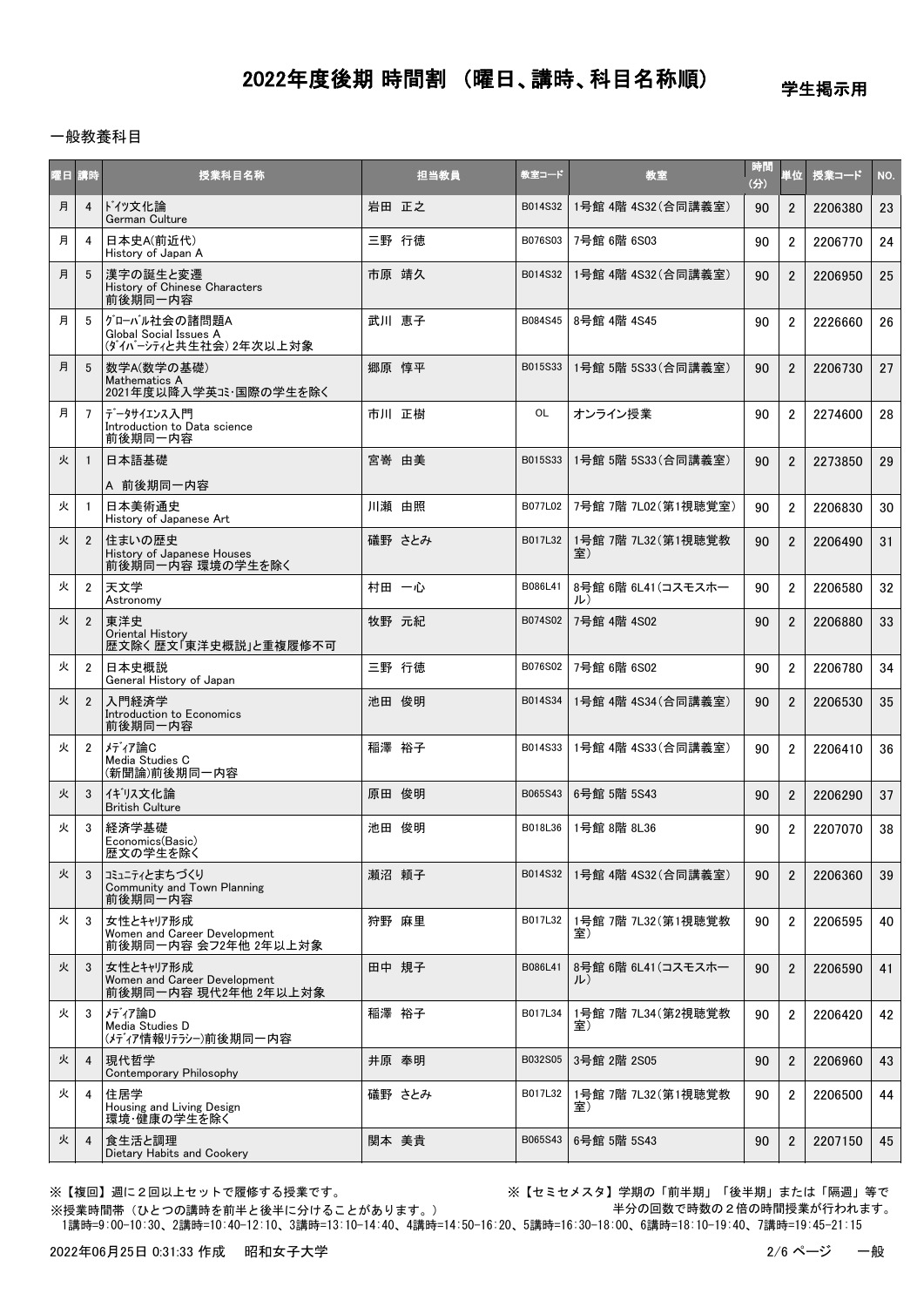## 学生掲示用

#### 一般教養科目

| 曜日 講時 |                | 授業科目名称                                                            | 担当教員   | 教室コード   | 教室                        | 時間<br>(3) | 単位             | 授業コード   | NO. |
|-------|----------------|-------------------------------------------------------------------|--------|---------|---------------------------|-----------|----------------|---------|-----|
| 月     | $\overline{4}$ | ドイッ文化論<br>German Culture                                          | 岩田 正之  | B014S32 | 1号館 4階 4S32 (合同講義室)       | 90        | $\overline{2}$ | 2206380 | 23  |
| 月     | 4              | 日本史A(前近代)<br>History of Japan A                                   | 三野 行徳  | B076S03 | 7号館 6階 6S03               | 90        | $\overline{2}$ | 2206770 | 24  |
| 月     | 5              | 漢字の誕生と変遷<br>History of Chinese Characters<br>前後期同一内容              | 市原 靖久  | B014S32 | 1号館 4階 4S32 (合同講義室)       | 90        | $\overline{2}$ | 2206950 | 25  |
| 月     | 5              | グローバル社会の諸問題A<br>Global Social Issues A<br>(ダイバーシティと共生社会) 2年次以上対象  | 武川 恵子  | B084S45 | 8号館 4階 4S45               | 90        | $\overline{2}$ | 2226660 | 26  |
| 月     | 5              | 数学A(数学の基礎)<br>Mathematics A<br>2021年度以降入学英コミ·国際の学生を除く             | 郷原 惇平  | B015S33 | 1号館 5階 5S33 (合同講義室)       | 90        | $\overline{2}$ | 2206730 | 27  |
| 月     | $\overline{7}$ | データサイエンス入門<br>Introduction to Data science<br>前後期同一内容             | 市川 正樹  | OL      | オンライン授業                   | 90        | $\overline{2}$ | 2274600 | 28  |
| 火     | $\mathbf{1}$   | 日本語基礎                                                             | 宮嵜 由美  | B015S33 | 1号館 5階 5S33 (合同講義室)       | 90        | $\overline{2}$ | 2273850 | 29  |
| 火     |                | A 前後期同一内容<br>日本美術通史<br>History of Japanese Art                    | 川瀬 由照  | B077L02 | 7号館 7階 7L02 (第1視聴覚室)      | 90        | $\overline{2}$ | 2206830 | 30  |
| 火     | $\overline{2}$ | 住まいの歴史<br>History of Japanese Houses<br>前後期同一内容 環境の学生を除く          | 礒野 さとみ | B017L32 | 1号館 7階 7L32(第1視聴覚教<br>室)  | 90        | $\overline{2}$ | 2206490 | 31  |
| 火     | $\overline{2}$ | 天文学<br>Astronomy                                                  | 村田 一心  | B086L41 | 8号館 6階 6L41 (コスモスホー<br>ル) | 90        | $\overline{2}$ | 2206580 | 32  |
| 火     | $\overline{2}$ | 東洋史<br>Oriental History<br>歴文除く歴文「東洋史概説」と重複履修不可                   | 牧野 元紀  | B074S02 | 7号館 4階 4S02               | 90        | $\overline{2}$ | 2206880 | 33  |
| 火     | $\overline{2}$ | 日本史概説<br>General History of Japan                                 | 三野 行徳  | B076S02 | 7号館 6階 6S02               | 90        | $\overline{2}$ | 2206780 | 34  |
| 火     | $\overline{2}$ | 入門経済学<br>Introduction to Economics<br>前後期同一内容                     | 池田 俊明  | B014S34 | 1号館 4階 4S34 (合同講義室)       | 90        | $\overline{2}$ | 2206530 | 35  |
| 火     | $\overline{2}$ | メディア論C<br>Media Studies C<br>(新聞論)前後期同一内容                         | 稲澤 裕子  | B014S33 | 1号館 4階 4S33 (合同講義室)       | 90        | $\overline{2}$ | 2206410 | 36  |
| 火     | 3              | イギリス文化論<br><b>British Culture</b>                                 | 原田 俊明  | B065S43 | 6号館 5階 5S43               | 90        | $\overline{2}$ | 2206290 | 37  |
| 火     | 3              | 経済学基礎<br>Economics(Basic)<br>歴文の学生を除く                             | 池田 俊明  | B018L36 | 1号館 8階 8L36               | 90        | $\overline{2}$ | 2207070 | 38  |
| 火     | 3              | コミュニティとまちづくり<br>Community and Town Planning<br>前後期同一内容            | 瀬沼 頼子  | B014S32 | 1号館 4階 4S32(合同講義室)        | 90        | $\overline{2}$ | 2206360 | 39  |
| 火     | 3              | 女性とキャリア形成<br>Women and Career Development<br>前後期同一内容 会フ2年他 2年以上対象 | 狩野 麻里  | B017L32 | 1号館 7階 7L32(第1視聴覚教<br>室)  | 90        | $\overline{2}$ | 2206595 | 40  |
| 火     | 3              | 女性とキャリア形成<br>Women and Career Development<br>前後期同一内容 現代2年他 2年以上対象 | 田中 規子  | B086L41 | 8号館 6階 6L41(コスモスホー<br>ル)  | 90        | $\overline{2}$ | 2206590 | 41  |
| 火     | 3              | メディア論D<br>Media Studies D<br>(メディア情報リテラシー)前後期同一内容                 | 稲澤 裕子  | B017L34 | 1号館 7階 7L34(第2視聴覚教<br>室)  | 90        | $\overline{2}$ | 2206420 | 42  |
| 火     | 4              | 現代哲学<br>Contemporary Philosophy                                   | 井原 奉明  | B032S05 | 3号館 2階 2S05               | 90        | $\overline{2}$ | 2206960 | 43  |
| 火     | 4              | 住居学<br>Housing and Living Design<br>環境・健康の学生を除く                   | 礒野 さとみ | B017L32 | 1号館 7階 7L32(第1視聴覚教<br>室)  | 90        | $\overline{2}$ | 2206500 | 44  |
| 火     | $\overline{4}$ | 食生活と調理<br>Dietary Habits and Cookery                              | 関本 美貴  | B065S43 | 6号館 5階 5S43               | 90        | $\overline{2}$ | 2207150 | 45  |

※授業時間帯(ひとつの講時を前半と後半に分けることがあります。)

※【複回】週に2回以上セットで履修する授業です。 ※【セミセメスタ】学期の「前半期」「後半期」または「隔週」等で 半分の回数で時数の2倍の時間授業が行われます。

1講時=9:00-10:30、2講時=10:40-12:10、3講時=13:10-14:40、4講時=14:50-16:20、5講時=16:30-18:00、6講時=18:10-19:40、7講時=19:45-21:15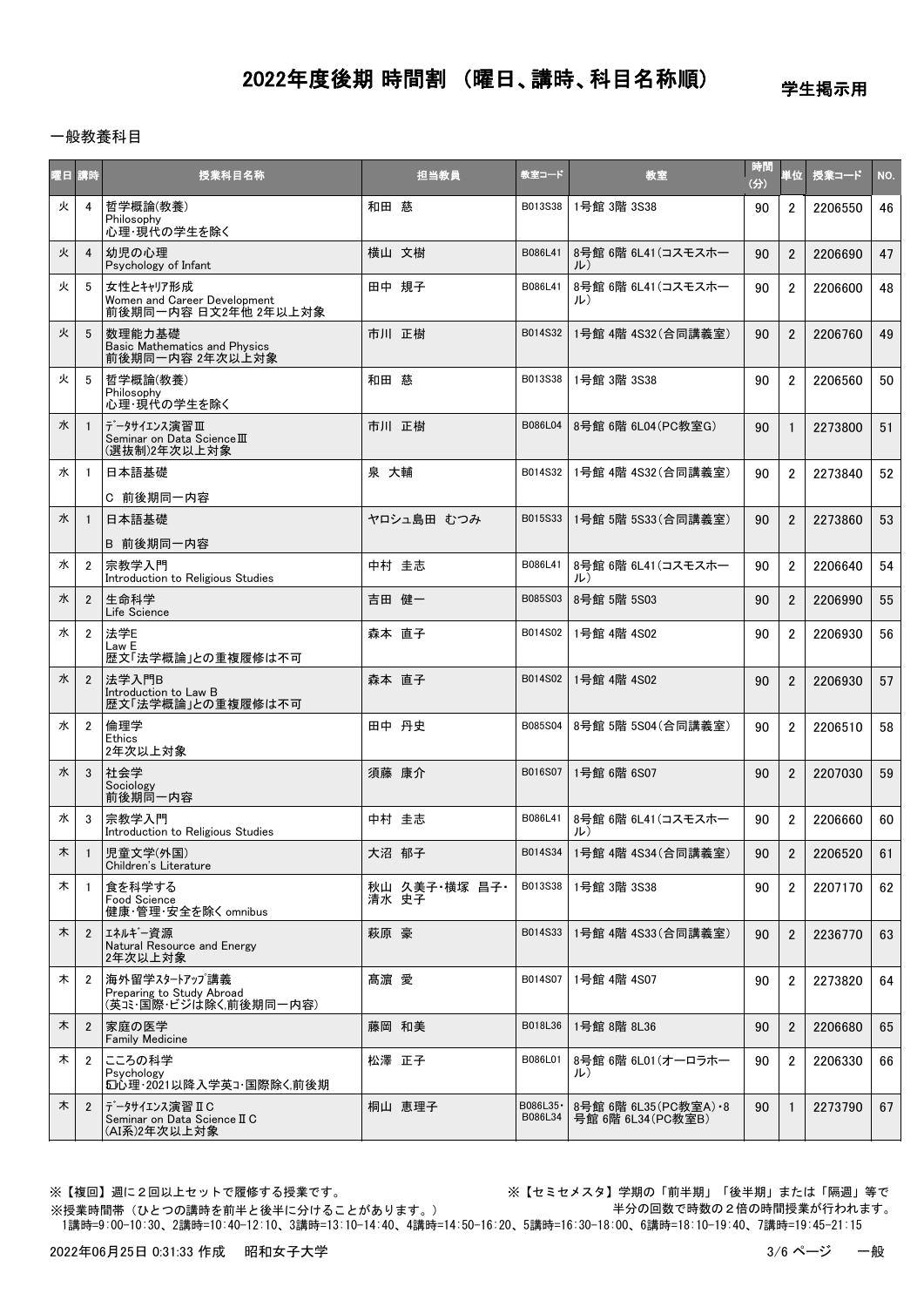学生掲示用

### 一般教養科目

| 曜日 講時 |                | 授業科目名称                                                              | 担当教員                   | 教室コード                | 教室                                         | 時間<br>(分) | 単位             | 授業コード   | NO. |
|-------|----------------|---------------------------------------------------------------------|------------------------|----------------------|--------------------------------------------|-----------|----------------|---------|-----|
| 火     | $\overline{4}$ | 哲学概論(教養)<br>Philosophy<br>心理・現代の学生を除く                               | 和田 慈                   | B013S38              | 1号館 3階 3S38                                | 90        | $\overline{2}$ | 2206550 | 46  |
| 火     | 4              | 幼児の心理<br>Psychology of Infant                                       | 横山 文樹                  | B086L41              | 8号館 6階 6L41(コスモスホー<br>ル)                   | 90        | $\overline{2}$ | 2206690 | 47  |
| 火     | 5              | 女性とキャリア形成<br>Women and Career Development<br>前後期同一内容 日文2年他 2年以上対象   | 田中 規子                  | B086L41              | 8号館 6階 6L41 (コスモスホー<br>ル)                  | 90        | $\overline{2}$ | 2206600 | 48  |
| 火     | 5              | 数理能力基礎<br><b>Basic Mathematics and Physics</b><br>前後期同一内容 2年次以上対象   | 市川 正樹                  | B014S32              | 1号館 4階 4S32(合同講義室)                         | 90        | $\overline{2}$ | 2206760 | 49  |
| 火     | 5              | 哲学概論(教養)<br>Philosophy<br>心理・現代の学生を除く                               | 和田 慈                   | B013S38              | 1号館 3階 3S38                                | 90        | $\overline{2}$ | 2206560 | 50  |
| 水     | $\overline{1}$ | データサイエンス演習Ⅲ<br>Seminar on Data Science III<br>(選抜制)2年次以上対象          | 市川 正樹                  | B086L04              | 8号館 6階 6L04(PC教室G)                         | 90        | $\mathbf{1}$   | 2273800 | 51  |
| 水     | -1             | 日本語基礎<br>C 前後期同一内容                                                  | 泉 大輔                   | B014S32              | 1号館 4階 4S32 (合同講義室)                        | 90        | $\overline{2}$ | 2273840 | 52  |
| 水     | $\mathbf{1}$   | 日本語基礎<br>B 前後期同一内容                                                  | ヤロシュ島田 むつみ             | B015S33              | 1号館 5階 5S33 (合同講義室)                        | 90        | $\overline{2}$ | 2273860 | 53  |
| 水     | $\overline{2}$ | 宗教学入門<br>Introduction to Religious Studies                          | 中村 圭志                  | B086L41              | 8号館 6階 6L41 (コスモスホー<br>ル)                  | 90        | $\overline{2}$ | 2206640 | 54  |
| 水     | $\overline{2}$ | 牛命科学<br>Life Science                                                | 吉田 健一                  | B085S03              | 8号館 5階 5S03                                | 90        | $\overline{2}$ | 2206990 | 55  |
| 水     | $\overline{2}$ | 法学E<br>Law E<br>歴文「法学概論」との重複履修は不可                                   | 森本 直子                  | B014S02              | 1号館 4階 4S02                                | 90        | $\overline{2}$ | 2206930 | 56  |
| 水     | $\overline{2}$ | 法学入門B<br>Introduction to Law B<br>歴文「法学概論」との重複履修は不可                 | 森本 直子                  | B014S02              | 1号館 4階 4S02                                | 90        | $\overline{2}$ | 2206930 | 57  |
| 水     | $\overline{2}$ | 倫理学<br><b>Ethics</b><br>2年次以上対象                                     | 田中 丹史                  | B085S04              | 8号館 5階 5S04 (合同講義室)                        | 90        | $\overline{2}$ | 2206510 | 58  |
| 水     | 3              | 社会学<br>Sociology<br>前後期同一内容                                         | 須藤 康介                  | B016S07              | 1号館 6階 6S07                                | 90        | $\overline{2}$ | 2207030 | 59  |
| 水     | 3              | 宗教学入門<br>Introduction to Religious Studies                          | 中村 圭志                  | B086L41              | 8号館 6階 6L41(コスモスホー<br>ル)                   | 90        | $\overline{2}$ | 2206660 | 60  |
| 木     | $\mathbf{1}$   | 児童文学(外国)<br>Children's Literature                                   | 大沼 郁子                  | B014S34              | 1号館 4階 4S34(合同講義室)                         | 90        | $\mathfrak{p}$ | 2206520 | 61  |
| 木     | -1             | 食を科学する<br>Food Science<br>健康·管理·安全を除く omnibus                       | 秋山 久美子·横塚 昌子·<br>清水 史子 | B013S38              | 1号館 3階 3S38                                | 90        | $\overline{2}$ | 2207170 | 62  |
| 木     | $\overline{2}$ | エネルギー資源<br>Natural Resource and Energy<br>2年次以上対象                   | 萩原 豪                   | B014S33              | 1号館 4階 4S33 (合同講義室)                        | 90        | $\overline{2}$ | 2236770 | 63  |
| 木     | $\overline{2}$ | 海外留学スタートアップ講義<br>Preparing to Study Abroad<br>(英コミ・国際・ビジは除く前後期同一内容) | 髙濵 愛                   | B014S07              | 1号館 4階 4S07                                | 90        | $\overline{2}$ | 2273820 | 64  |
| 木     | $\overline{2}$ | 家庭の医学<br><b>Family Medicine</b>                                     | 藤岡 和美                  | B018L36              | 1号館 8階 8L36                                | 90        | $\overline{2}$ | 2206680 | 65  |
| 木     | $\overline{2}$ | こころの科学<br>Psychology<br>50心理·2021以降入学英コ・国際除く前後期                     | 松澤 正子                  | B086L01              | 8号館 6階 6L01(オーロラホー<br>ル)                   | 90        | $\overline{2}$ | 2206330 | 66  |
| 木     | $\overline{2}$ | データサイエンス演習 IIC<br>Seminar on Data Science II C<br>(AI系)2年次以上対象      | 桐山 恵理子                 | B086L35 ·<br>B086L34 | 8号館 6階 6L35(PC教室A) •8<br>号館 6階 6L34(PC教室B) | 90        | $\mathbf{1}$   | 2273790 | 67  |

※授業時間帯(ひとつの講時を前半と後半に分けることがあります。)

※【複回】週に2回以上セットで履修する授業です。 ※【セミセメスタ】学期の「前半期」「後半期」または「隔週」等で 半分の回数で時数の2倍の時間授業が行われます。

1講時=9:00-10:30、2講時=10:40-12:10、3講時=13:10-14:40、4講時=14:50-16:20、5講時=16:30-18:00、6講時=18:10-19:40、7講時=19:45-21:15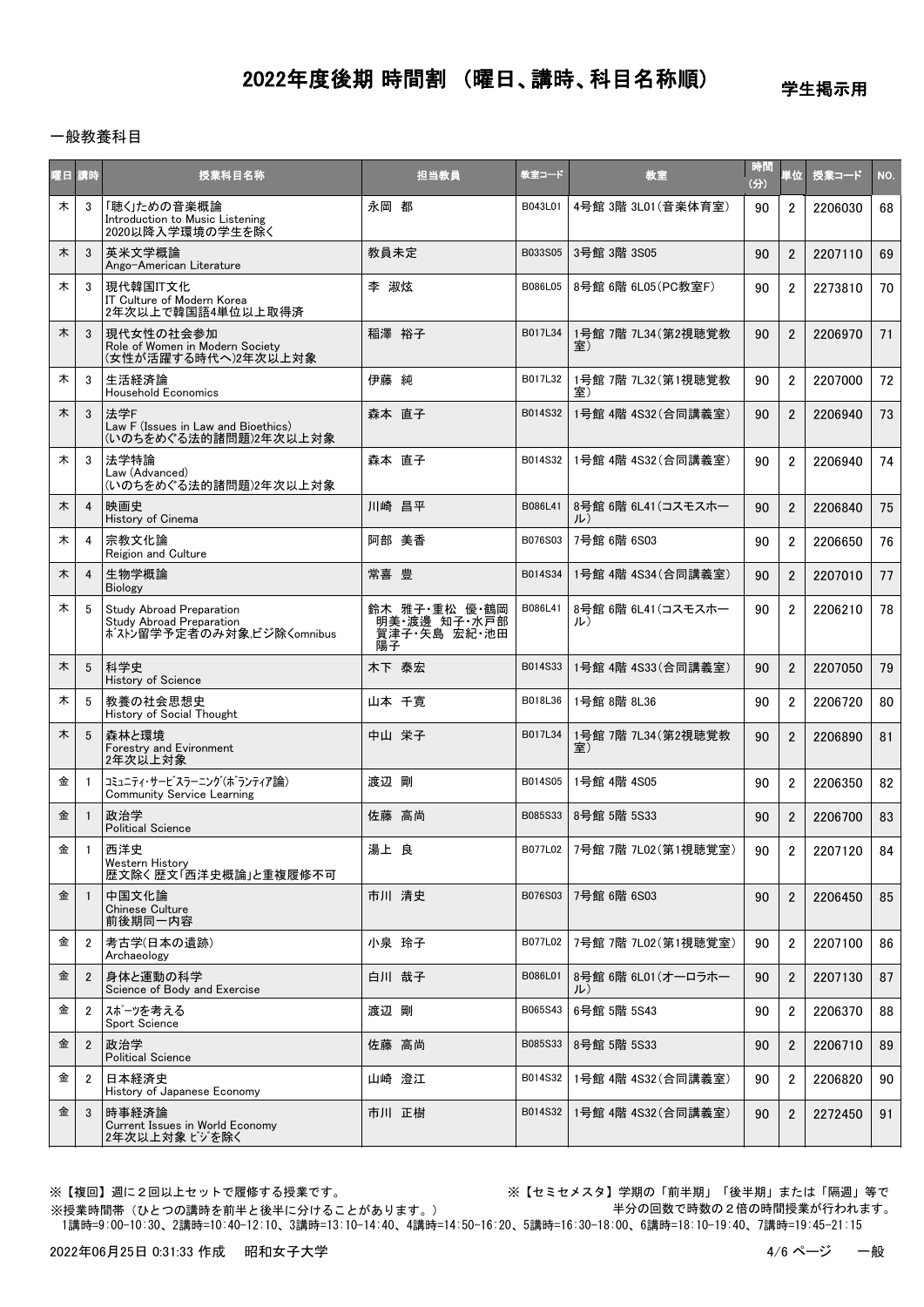## 学生掲示用

### 一般教養科目

| 曜日 講時 |                | 授業科目名称                                                                           | 担当教員                                                | 教室コード   | 教室                           | 時間<br>(分) | 単位             | 授業コード   | NO. |
|-------|----------------|----------------------------------------------------------------------------------|-----------------------------------------------------|---------|------------------------------|-----------|----------------|---------|-----|
| 木     | 3              | 「聴く」ための音楽概論<br>Introduction to Music Listening<br>2020以降入学環境の学生を除く               | 永岡 都                                                | B043L01 | 4号館 3階 3L01 (音楽体育室)          | 90        | $\overline{2}$ | 2206030 | 68  |
| 木     | 3              | 英米文学概論<br>Ango-American Literature                                               | 教員未定                                                | B033S05 | 3号館 3階 3S05                  | 90        | $\overline{2}$ | 2207110 | 69  |
| 木     | 3              | 現代韓国IT文化<br>IT Culture of Modern Korea<br>2年次以上で韓国語4単位以上取得済                      | 李 淑炫                                                | B086L05 | 8号館 6階 6L05 (PC教室F)          | 90        | $\overline{2}$ | 2273810 | 70  |
| 木     | 3              | 現代女性の社会参加<br>Role of Women in Modern Society<br>(女性が活躍する時代へ)2年次以上対象              | 稲澤 裕子                                               | B017L34 | 1号館 7階 7L34(第2視聴覚教<br>室)     | 90        | $\overline{2}$ | 2206970 | 71  |
| 木     | 3              | 生活経済論<br><b>Household Economics</b>                                              | 伊藤 純                                                | B017L32 | 1号館 7階 7L32 (第1視聴覚教<br>室〕    | 90        | $\overline{2}$ | 2207000 | 72  |
| 木     | 3              | 法学F<br>Law F (Issues in Law and Bioethics)<br>(いのちをめぐる法的諸問題)2年次以上対象              | 森本 直子                                               | B014S32 | 1号館 4階 4S32(合同講義室)           | 90        | $\overline{2}$ | 2206940 | 73  |
| 木     | 3              | 法学特論<br>Law (Advanced)<br>(いのちをめぐる法的諸問題)2年次以上対象                                  | 森本 直子                                               | B014S32 | 1号館 4階 4S32 (合同講義室)          | 90        | $\overline{2}$ | 2206940 | 74  |
| 木     | $\overline{4}$ | 映画史<br>History of Cinema                                                         | 川崎 昌平                                               | B086L41 | 8号館 6階 6L41 (コスモスホー<br>ル     | 90        | $\overline{2}$ | 2206840 | 75  |
| 木     | 4              | 宗教文化論<br>Reigion and Culture                                                     | 阿部 美香                                               | B076S03 | 7号館 6階 6S03                  | 90        | $\overline{2}$ | 2206650 | 76  |
| 木     | $\overline{4}$ | 生物学概論<br><b>Biology</b>                                                          | 常喜 豊                                                | B014S34 | 1号館 4階 4S34 (合同講義室)          | 90        | $\overline{2}$ | 2207010 | 77  |
| 木     | 5              | Study Abroad Preparation<br>Study Abroad Preparation<br>ボストン留学予定者のみ対象だジ除くomnibus | 鈴木 雅子·重松 優·鶴岡<br>明美 渡邊 知子 水戸部<br>賀津子·矢島 宏紀·池田<br>陽子 | B086L41 | 8号館 6階 6L41 (コスモスホー<br>ル)    | 90        | $\mathfrak{p}$ | 2206210 | 78  |
| 木     | 5              | 科学史<br><b>History of Science</b>                                                 | 木下 泰宏                                               | B014S33 | 1号館 4階 4S33 (合同講義室)          | 90        | $\overline{2}$ | 2207050 | 79  |
| 木     | 5              | 教養の社会思想史<br>History of Social Thought                                            | 山本 千寛                                               | B018L36 | 1号館 8階 8L36                  | 90        | $\overline{2}$ | 2206720 | 80  |
| 木     | 5              | 森林と環境<br>Forestry and Evironment<br>2年次以上対象                                      | 中山 栄子                                               | B017L34 | 1号館 7階 7L34 (第2視聴覚教<br>室)    | 90        | $\overline{2}$ | 2206890 | 81  |
| 金     | $\overline{1}$ | コミュニティ・サービスラーニング(ボランティア論)<br>Community Service Learning                          | 渡辺 剛                                                | B014S05 | 1号館 4階 4S05                  | 90        | $\overline{2}$ | 2206350 | 82  |
| 金     |                | 政治学<br><b>Political Science</b>                                                  | 佐藤 高尚                                               | B085S33 | 8号館 5階 5S33                  | 90        | $\overline{2}$ | 2206700 | 83  |
| 金     | $\mathbf{1}$   | 西洋史<br>Western History<br>歴文除く歴文「西洋史概論」と重複履修不可                                   | 湯上 良                                                |         | B077L02 7号館 7階 7L02 (第1視聴覚室) | 90        | $\overline{2}$ | 2207120 | 84  |
| 金     | $\overline{1}$ | 中国文化論<br><b>Chinese Culture</b><br>前後期同一内容                                       | 市川 清史                                               | B076S03 | 7号館 6階 6S03                  | 90        | $\overline{2}$ | 2206450 | 85  |
| 金     | 2              | 考古学(日本の遺跡)<br>Archaeology                                                        | 小泉 玲子                                               | B077L02 | 7号館 7階 7L02(第1視聴覚室)          | 90        | $\overline{2}$ | 2207100 | 86  |
| 金     | $\overline{2}$ | 身体と運動の科学<br>Science of Body and Exercise                                         | 白川 哉子                                               | B086L01 | 8号館 6階 6L01(オーロラホー<br>ル)     | 90        | $\overline{2}$ | 2207130 | 87  |
| 金     | $\overline{2}$ | スポーツを考える<br>Sport Science                                                        | 渡辺 剛                                                | B065S43 | 6号館 5階 5S43                  | 90        | $\overline{2}$ | 2206370 | 88  |
| 金     | $\overline{2}$ | 政治学<br><b>Political Science</b>                                                  | 佐藤 高尚                                               | B085S33 | 8号館 5階 5S33                  | 90        | $\overline{2}$ | 2206710 | 89  |
| 金     | $\overline{2}$ | 日本経済史<br>History of Japanese Economy                                             | 山崎 澄江                                               | B014S32 | 1号館 4階 4S32(合同講義室)           | 90        | $\overline{2}$ | 2206820 | 90  |
| 金     | 3              | 時事経済論<br>Current Issues in World Economy<br>2年次以上対象 ビジを除く                        | 市川 正樹                                               | B014S32 | 1号館 4階 4S32(合同講義室)           | 90        | $\overline{2}$ | 2272450 | 91  |

※【複回】週に2回以上セットで履修する授業です。 ※【セミセメスタ】学期の「前半期」「後半期」または「隔週」等で 半分の回数で時数の2倍の時間授業が行われます。

 1講時=9:00-10:30、2講時=10:40-12:10、3講時=13:10-14:40、4講時=14:50-16:20、5講時=16:30-18:00、6講時=18:10-19:40、7講時=19:45-21:15 ※授業時間帯(ひとつの講時を前半と後半に分けることがあります。)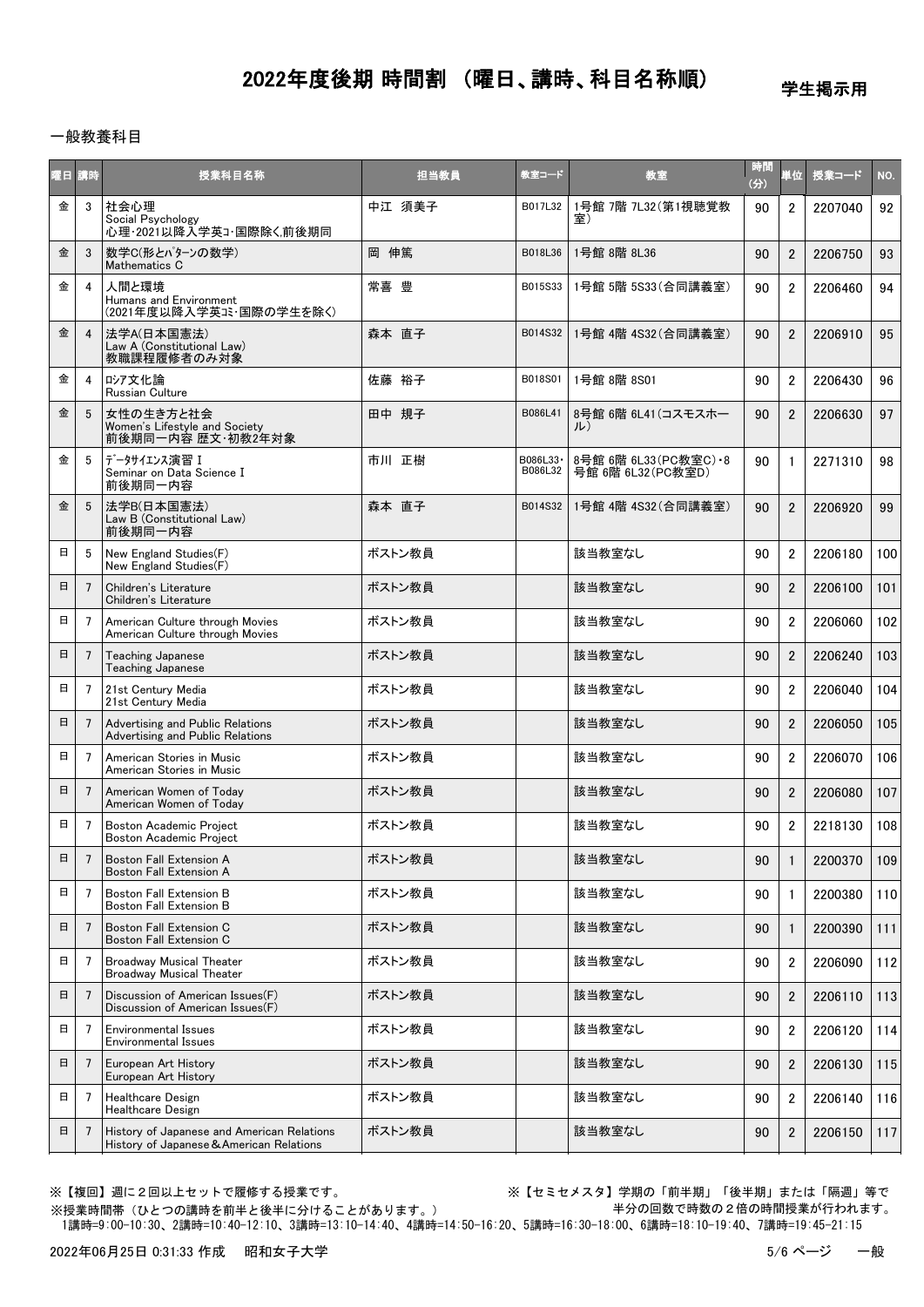学生掲示用

### 一般教養科目

| 曜日 講時  |                 | 授業科目名称                                                                                 | 担当教員   | 教室コード                | 教室                                            | 時間<br>$\left(\frac{1}{2}\right)$ | 単位             | 授業コード   | NO. |
|--------|-----------------|----------------------------------------------------------------------------------------|--------|----------------------|-----------------------------------------------|----------------------------------|----------------|---------|-----|
| 金      | 3               | 社会心理<br>Social Psychology<br>心理·2021以降入学英コ・国際除く前後期同                                    | 中江 須美子 | B017L32              | 1号館 7階 7L32 (第1視聴覚教<br>室)                     | 90                               | $\overline{2}$ | 2207040 | 92  |
| 金      | 3               | 数学C(形とパターンの数学)<br>Mathematics C                                                        | 岡 伸篤   | B018L36              | 1号館 8階 8L36                                   | 90                               | $\overline{2}$ | 2206750 | 93  |
| 金      | 4               | 人間と環境<br>Humans and Environment                                                        | 常喜 豊   | B015S33              | 1号館 5階 5S33 (合同講義室)                           | 90                               | $\overline{2}$ | 2206460 | 94  |
| 金      | $\overline{4}$  | 法学A(日本国憲法)<br>Law A (Constitutional Law)<br>教職課程履修者のみ対象                                | 森本 直子  | B014S32              | 1号館 4階 4S32(合同講義室)                            | 90                               | $\overline{2}$ | 2206910 | 95  |
| 金      | 4               | ロシア文化論<br>Russian Culture                                                              | 佐藤 裕子  | B018S01              | 1号館 8階 8S01                                   | 90                               | $\overline{2}$ | 2206430 | 96  |
| 金      | 5               | 女性の生き方と社会<br>Women's Lifestyle and Society<br>前後期同一内容 歴文·初教2年対象                        | 田中 規子  | B086L41              | 8号館 6階 6L41 (コスモスホー<br>ル)                     | 90                               | $\overline{2}$ | 2206630 | 97  |
| 金      | 5               | データサイエンス演習 I<br>Seminar on Data Science I<br>前後期同一内容                                   | 市川 正樹  | B086L33 ·<br>B086L32 | 8号館 6階 6L33 (PC教室C) · 8<br>号館 6階 6L32 (PC教室D) | 90                               | $\mathbf{1}$   | 2271310 | 98  |
| 金      | 5               | 法学B(日本国憲法)<br>Law B (Constitutional Law)<br>前後期同一内容                                    | 森本 直子  | B014S32              | 1号館 4階 4S32 (合同講義室)                           | 90                               | $\overline{2}$ | 2206920 | 99  |
| 日      | 5               | New England Studies(F)<br>New England Studies(F)                                       | ボストン教員 |                      | 該当教室なし                                        | 90                               | $\overline{2}$ | 2206180 | 100 |
| 日      | $\overline{7}$  | Children's Literature<br>Children's Literature                                         | ボストン教員 |                      | 該当教室なし                                        | 90                               | $\overline{2}$ | 2206100 | 101 |
| 日      | $\overline{7}$  | American Culture through Movies<br>American Culture through Movies                     | ボストン教員 |                      | 該当教室なし                                        | 90                               | $\overline{2}$ | 2206060 | 102 |
| 日      | $\overline{7}$  | Teaching Japanese<br>Teaching Japanese                                                 | ボストン教員 |                      | 該当教室なし                                        | 90                               | $\overline{2}$ | 2206240 | 103 |
| 日      | 7               | 21st Century Media<br>21st Century Media                                               | ボストン教員 |                      | 該当教室なし                                        | 90                               | $\overline{2}$ | 2206040 | 104 |
| 日      | 7               | Advertising and Public Relations<br>Advertising and Public Relations                   | ボストン教員 |                      | 該当教室なし                                        | 90                               | $\overline{2}$ | 2206050 | 105 |
| 日      | $\overline{7}$  | American Stories in Music<br>American Stories in Music                                 | ボストン教員 |                      | 該当教室なし                                        | 90                               | $\overline{2}$ | 2206070 | 106 |
| 日      | $\overline{7}$  | American Women of Today<br>American Women of Today                                     | ボストン教員 |                      | 該当教室なし                                        | 90                               | $\overline{2}$ | 2206080 | 107 |
| 日      | 7               | <b>Boston Academic Project</b><br>Boston Academic Project                              | ボストン教員 |                      | 該当教室なし                                        | 90                               | $\overline{2}$ | 2218130 | 108 |
| 日      | $\overline{7}$  | Boston Fall Extension A<br><b>Boston Fall Extension A</b>                              | ボストン教員 |                      | 該当教室なし                                        | 90                               | 1              | 2200370 | 109 |
| $\Box$ | 7               | <b>Boston Fall Extension B</b><br>Boston Fall Extension B                              | ボストン教員 |                      | 該当教室なし                                        | 90                               |                | 2200380 | 110 |
| 日      | 7               | Boston Fall Extension C<br>Boston Fall Extension C                                     | ボストン教員 |                      | 該当教室なし                                        | 90                               | $\mathbf{1}$   | 2200390 | 111 |
| 日      | 7               | <b>Broadway Musical Theater</b><br><b>Broadway Musical Theater</b>                     | ボストン教員 |                      | 該当教室なし                                        | 90                               | $\overline{2}$ | 2206090 | 112 |
| 日      | $7\overline{ }$ | Discussion of American Issues(F)<br>Discussion of American Issues(F)                   | ボストン教員 |                      | 該当教室なし                                        | 90                               | $\overline{2}$ | 2206110 | 113 |
| 日      | 7               | Environmental Issues<br>Environmental Issues                                           | ボストン教員 |                      | 該当教室なし                                        | 90                               | $\overline{2}$ | 2206120 | 114 |
| 日      | 7               | European Art History<br>European Art History                                           | ボストン教員 |                      | 該当教室なし                                        | 90                               | $\overline{2}$ | 2206130 | 115 |
| 日      | $\overline{7}$  | <b>Healthcare Design</b><br>Healthcare Design                                          | ボストン教員 |                      | 該当教室なし                                        | 90                               | $\overline{2}$ | 2206140 | 116 |
| 日      | 7               | History of Japanese and American Relations<br>History of Japanese & American Relations | ボストン教員 |                      | 該当教室なし                                        | 90                               | $\overline{2}$ | 2206150 | 117 |

※【複回】週に2回以上セットで履修する授業です。 ※【セミセメスタ】学期の「前半期」「後半期」または「隔週」等で 半分の回数で時数の2倍の時間授業が行われます。

 1講時=9:00-10:30、2講時=10:40-12:10、3講時=13:10-14:40、4講時=14:50-16:20、5講時=16:30-18:00、6講時=18:10-19:40、7講時=19:45-21:15 ※授業時間帯(ひとつの講時を前半と後半に分けることがあります。)

2022年06月25日 0:31:33 作成 昭和女子大学 5/6 ページ この形式 5/6 ページ ちんかんこう 一般